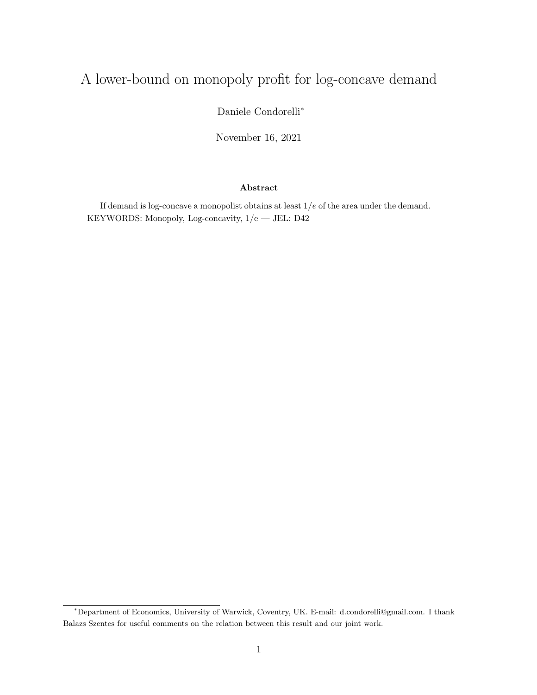## A lower-bound on monopoly profit for log-concave demand

Daniele Condorelli<sup>∗</sup>

November 16, 2021

## Abstract

If demand is log-concave a monopolist obtains at least  $1/e$  of the area under the demand. KEYWORDS: Monopoly, Log-concavity, 1/e — JEL: D42

<sup>∗</sup>Department of Economics, University of Warwick, Coventry, UK. E-mail: d.condorelli@gmail.com. I thank Balazs Szentes for useful comments on the relation between this result and our joint work.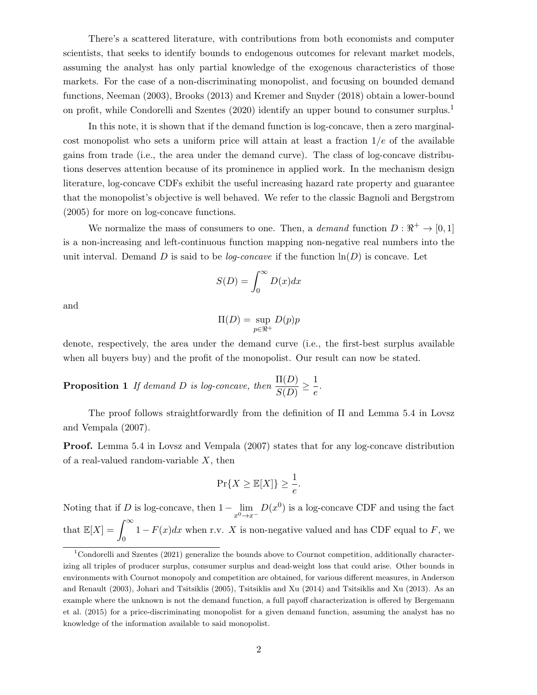There's a scattered literature, with contributions from both economists and computer scientists, that seeks to identify bounds to endogenous outcomes for relevant market models, assuming the analyst has only partial knowledge of the exogenous characteristics of those markets. For the case of a non-discriminating monopolist, and focusing on bounded demand functions, Neeman (2003), Brooks (2013) and Kremer and Snyder (2018) obtain a lower-bound on profit, while Condorelli and Szentes (2020) identify an upper bound to consumer surplus.<sup>1</sup>

In this note, it is shown that if the demand function is log-concave, then a zero marginalcost monopolist who sets a uniform price will attain at least a fraction  $1/e$  of the available gains from trade (i.e., the area under the demand curve). The class of log-concave distributions deserves attention because of its prominence in applied work. In the mechanism design literature, log-concave CDFs exhibit the useful increasing hazard rate property and guarantee that the monopolist's objective is well behaved. We refer to the classic Bagnoli and Bergstrom (2005) for more on log-concave functions.

We normalize the mass of consumers to one. Then, a *demand* function  $D : \mathbb{R}^+ \to [0,1]$ is a non-increasing and left-continuous function mapping non-negative real numbers into the unit interval. Demand D is said to be *log-concave* if the function  $\ln(D)$  is concave. Let

$$
S(D) = \int_0^\infty D(x)dx
$$

and

$$
\Pi(D) = \sup_{p \in \mathbb{R}^+} D(p)p
$$

denote, respectively, the area under the demand curve (i.e., the first-best surplus available when all buyers buy) and the profit of the monopolist. Our result can now be stated.

**Proposition 1** If demand D is log-concave, then 
$$
\frac{\Pi(D)}{S(D)} \geq \frac{1}{e}
$$
.

The proof follows straightforwardly from the definition of Π and Lemma 5.4 in Lovsz and Vempala (2007).

Proof. Lemma 5.4 in Lovsz and Vempala (2007) states that for any log-concave distribution of a real-valued random-variable  $X$ , then

$$
\Pr\{X \ge \mathbb{E}[X]\} \ge \frac{1}{e}.
$$

Noting that if D is log-concave, then  $1 - \lim_{x^0 \to x^-} D(x^0)$  is a log-concave CDF and using the fact that  $\mathbb{E}[X] = \int_{-\infty}^{\infty}$ 0  $1 - F(x)dx$  when r.v. X is non-negative valued and has CDF equal to F, we

<sup>&</sup>lt;sup>1</sup>Condorelli and Szentes (2021) generalize the bounds above to Cournot competition, additionally characterizing all triples of producer surplus, consumer surplus and dead-weight loss that could arise. Other bounds in environments with Cournot monopoly and competition are obtained, for various different measures, in Anderson and Renault (2003), Johari and Tsitsiklis (2005), Tsitsiklis and Xu (2014) and Tsitsiklis and Xu (2013). As an example where the unknown is not the demand function, a full payoff characterization is offered by Bergemann et al. (2015) for a price-discriminating monopolist for a given demand function, assuming the analyst has no knowledge of the information available to said monopolist.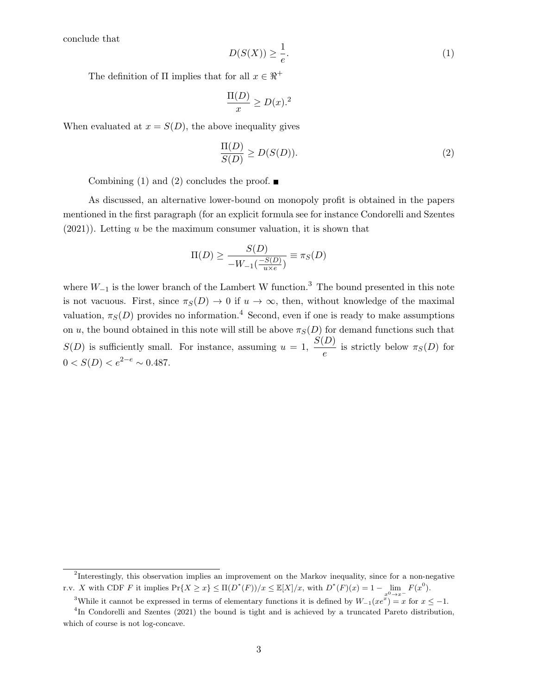conclude that

$$
D(S(X)) \ge \frac{1}{e}.\tag{1}
$$

The definition of  $\Pi$  implies that for all  $x \in \Re^+$ 

$$
\frac{\Pi(D)}{x} \ge D(x).^{2}
$$

When evaluated at  $x = S(D)$ , the above inequality gives

$$
\frac{\Pi(D)}{S(D)} \ge D(S(D)).\tag{2}
$$

Combining (1) and (2) concludes the proof.  $\blacksquare$ 

As discussed, an alternative lower-bound on monopoly profit is obtained in the papers mentioned in the first paragraph (for an explicit formula see for instance Condorelli and Szentes  $(2021)$ ). Letting u be the maximum consumer valuation, it is shown that

$$
\Pi(D) \ge \frac{S(D)}{-W_{-1}(\frac{-S(D)}{u \times e})} \equiv \pi_S(D)
$$

where  $W_{-1}$  is the lower branch of the Lambert W function.<sup>3</sup> The bound presented in this note is not vacuous. First, since  $\pi_S(D) \to 0$  if  $u \to \infty$ , then, without knowledge of the maximal valuation,  $\pi_S(D)$  provides no information.<sup>4</sup> Second, even if one is ready to make assumptions on u, the bound obtained in this note will still be above  $\pi_S(D)$  for demand functions such that  $S(D)$  is sufficiently small. For instance, assuming  $u = 1$ ,  $\frac{S(D)}{D}$  $\frac{E}{e}$  is strictly below  $\pi_S(D)$  for  $0 < S(D) < e^{2-e} \sim 0.487.$ 

<sup>&</sup>lt;sup>2</sup>Interestingly, this observation implies an improvement on the Markov inequality, since for a non-negative r.v. X with CDF F it implies  $Pr\{X \ge x\} \le \Pi(D^*(F))/x \le \mathbb{E}[X]/x$ , with  $D^*(F)(x) = 1 - \lim_{x^0 \to x^-} F(x^0)$ .

<sup>&</sup>lt;sup>3</sup>While it cannot be expressed in terms of elementary functions it is defined by  $W_{-1}(xe^x) = x$  for  $x \le -1$ .

<sup>&</sup>lt;sup>4</sup>In Condorelli and Szentes (2021) the bound is tight and is achieved by a truncated Pareto distribution, which of course is not log-concave.